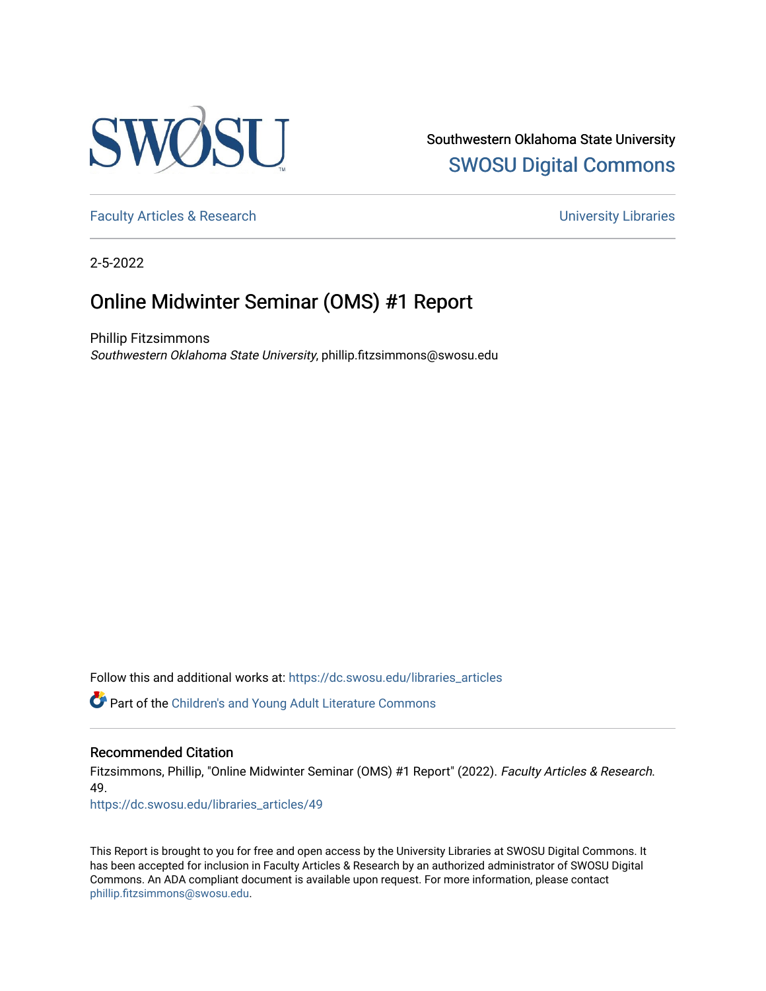

Southwestern Oklahoma State University [SWOSU Digital Commons](https://dc.swosu.edu/) 

[Faculty Articles & Research](https://dc.swosu.edu/libraries_articles) **Executive Executive Executive Contract Executive Contract Executive Contract Executive Contract Executive Contract Executive Contract Executive Contract Executive Contract Executive Contract Ex** 

2-5-2022

## Online Midwinter Seminar (OMS) #1 Report

Phillip Fitzsimmons Southwestern Oklahoma State University, phillip.fitzsimmons@swosu.edu

Follow this and additional works at: [https://dc.swosu.edu/libraries\\_articles](https://dc.swosu.edu/libraries_articles?utm_source=dc.swosu.edu%2Flibraries_articles%2F49&utm_medium=PDF&utm_campaign=PDFCoverPages) 

Part of the [Children's and Young Adult Literature Commons](https://network.bepress.com/hgg/discipline/1289?utm_source=dc.swosu.edu%2Flibraries_articles%2F49&utm_medium=PDF&utm_campaign=PDFCoverPages) 

## Recommended Citation

Fitzsimmons, Phillip, "Online Midwinter Seminar (OMS) #1 Report" (2022). Faculty Articles & Research. 49.

[https://dc.swosu.edu/libraries\\_articles/49](https://dc.swosu.edu/libraries_articles/49?utm_source=dc.swosu.edu%2Flibraries_articles%2F49&utm_medium=PDF&utm_campaign=PDFCoverPages)

This Report is brought to you for free and open access by the University Libraries at SWOSU Digital Commons. It has been accepted for inclusion in Faculty Articles & Research by an authorized administrator of SWOSU Digital Commons. An ADA compliant document is available upon request. For more information, please contact [phillip.fitzsimmons@swosu.edu](mailto:phillip.fitzsimmons@swosu.edu).